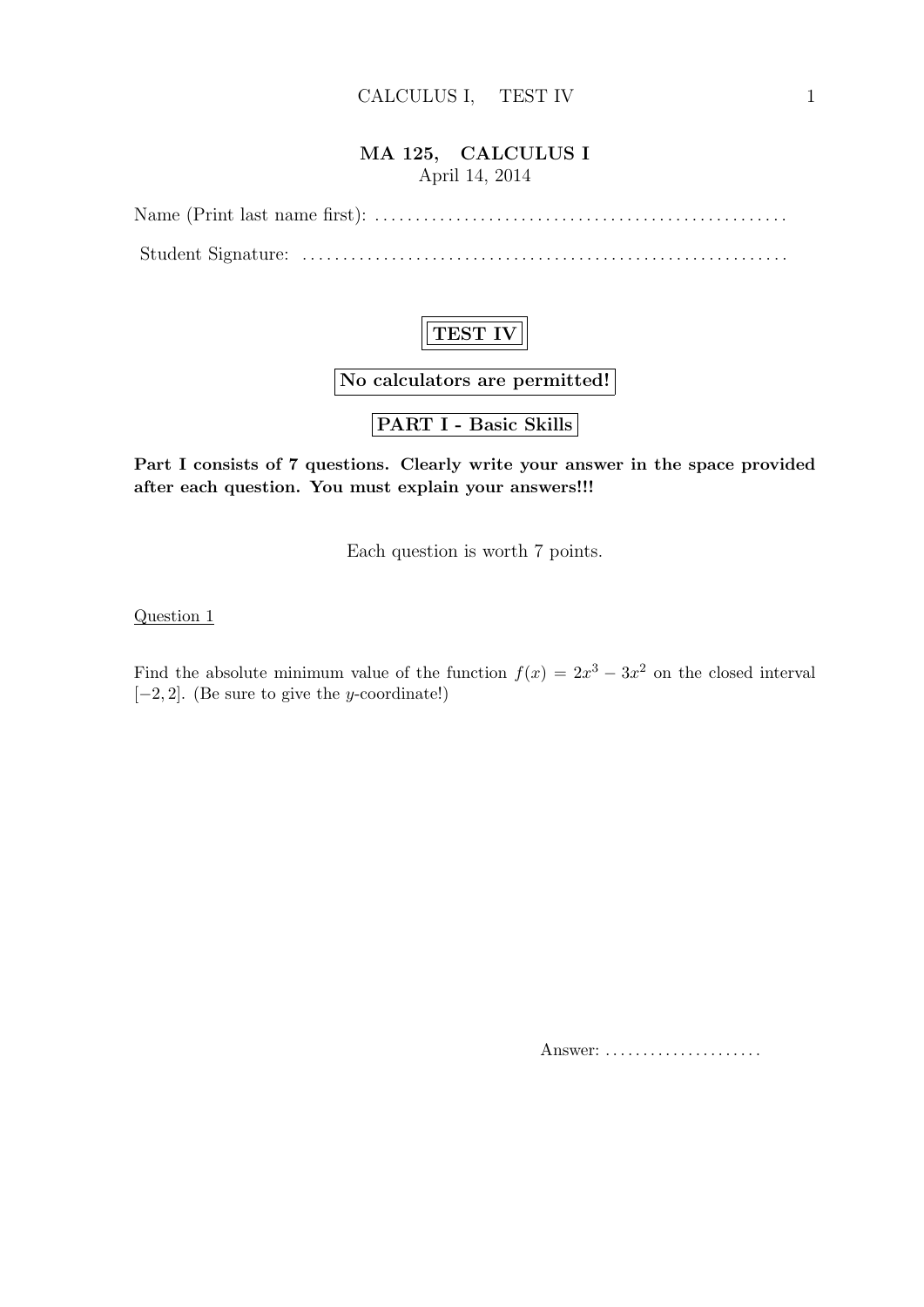#### **MA 125, CALCULUS I** April 14, 2014

Name (Print last name first): *. . . . . . . . . . . . . . . . . . . . . . . . . . . . . . . . . . . . . . . . . . . . . . . . . . .* Student Signature: *. . . . . . . . . . . . . . . . . . . . . . . . . . . . . . . . . . . . . . . . . . . . . . . . . . . . . . . . . . . .*



**No calculators are permitted!**

**PART I - Basic Skills**

**Part I consists of 7 questions. Clearly write your answer in the space provided after each question. You must explain your answers!!!**

Each question is worth 7 points.

Question 1

Find the absolute minimum value of the function  $f(x) = 2x^3 - 3x^2$  on the closed interval [*−*2*,* 2]. (Be sure to give the *y*-coordinate!)

Answer: . . . . . . . . . . . . . . . . . . . . .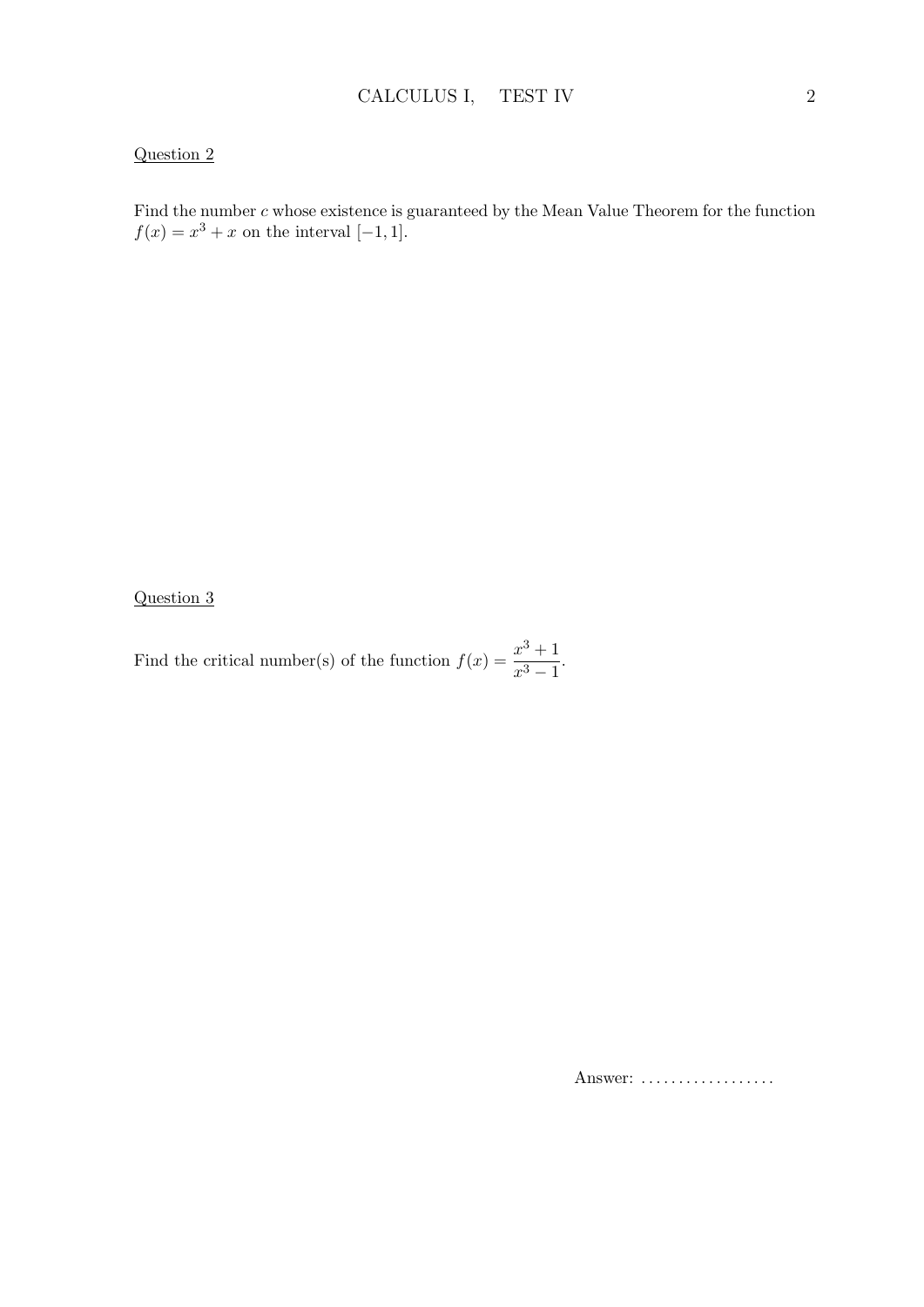#### Question 2

Find the number *c* whose existence is guaranteed by the Mean Value Theorem for the function  $f(x) = x^3 + x$  on the interval [−1*,* 1].

Question 3

Find the critical number(s) of the function  $f(x) = \frac{x^3 + 1}{3}$  $\frac{x}{x^3-1}$ .

Answer: *. . . . . . . . . . . . . . . . . .*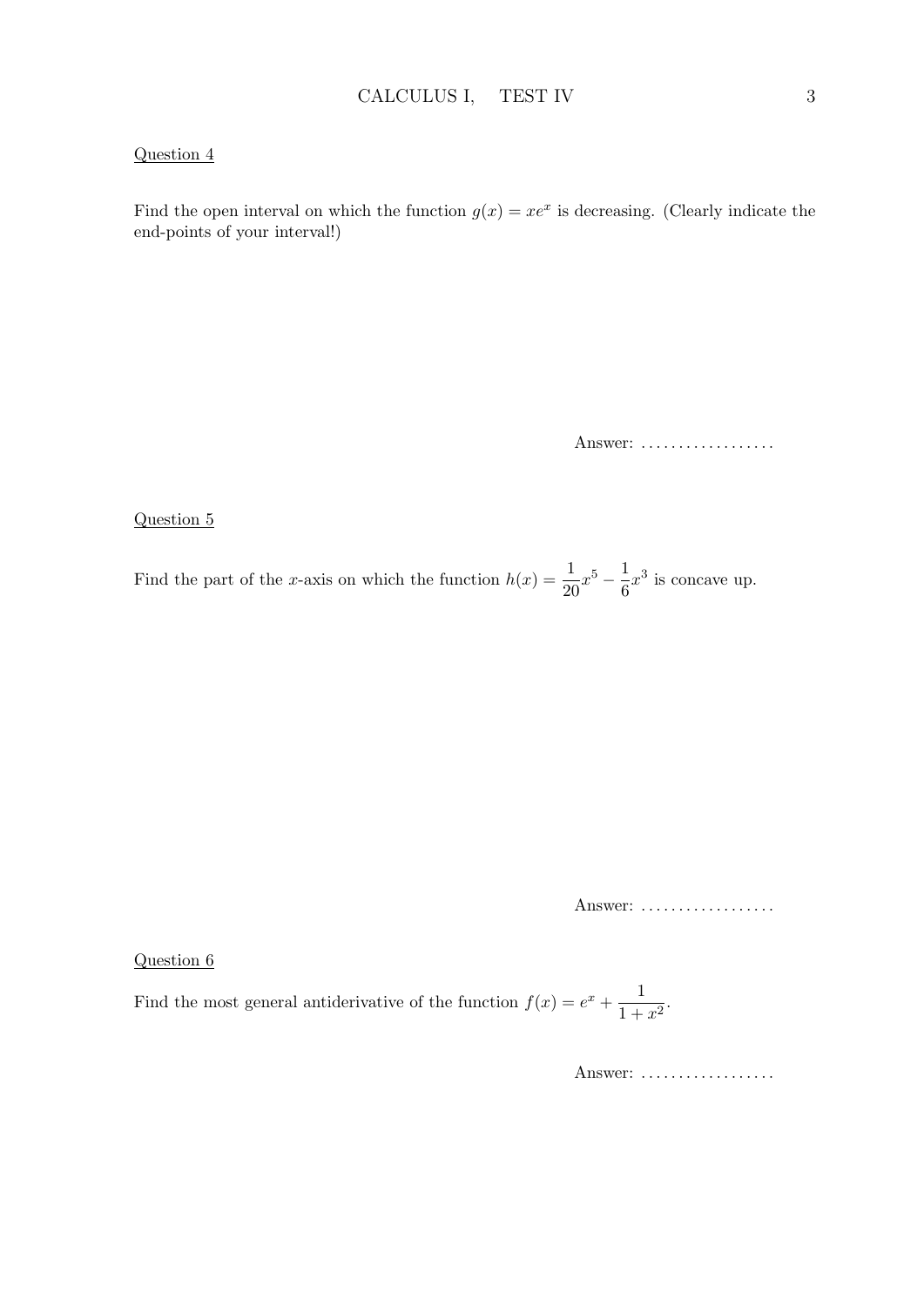#### Question 4

Find the open interval on which the function  $g(x) = xe^x$  is decreasing. (Clearly indicate the end-points of your interval!)

Answer: *. . . . . . . . . . . . . . . . . .*

#### Question 5

Find the part of the *x*-axis on which the function  $h(x) = \frac{1}{20}x^5 - \frac{1}{6}$  $\frac{1}{6}x^3$  is concave up.

Answer: *. . . . . . . . . . . . . . . . . .*

Question 6

Find the most general antiderivative of the function  $f(x) = e^x + \frac{1}{1+x^2}$  $\frac{1}{1+x^2}$ .

Answer: *. . . . . . . . . . . . . . . . . .*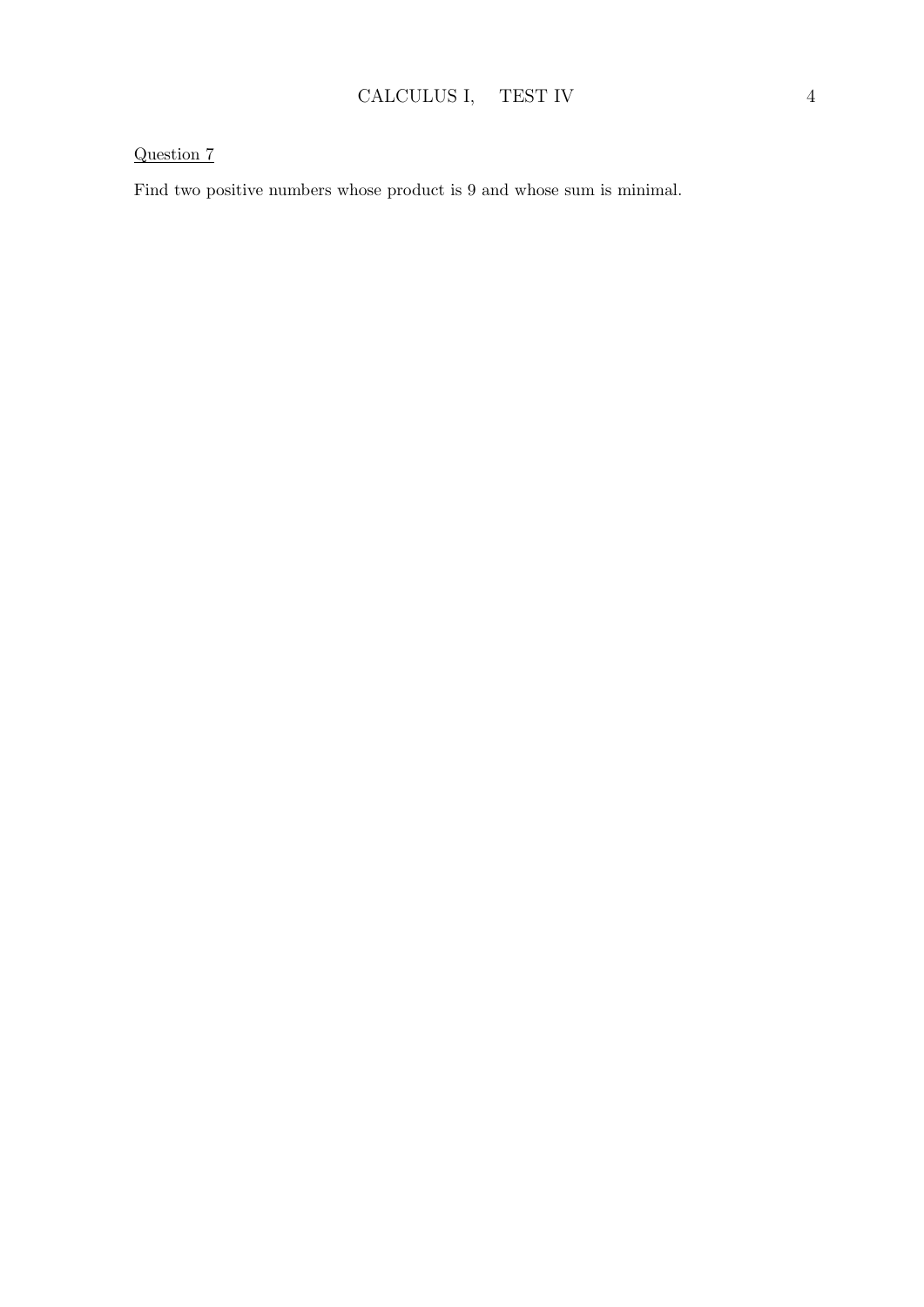### Question 7

Find two positive numbers whose product is 9 and whose sum is minimal.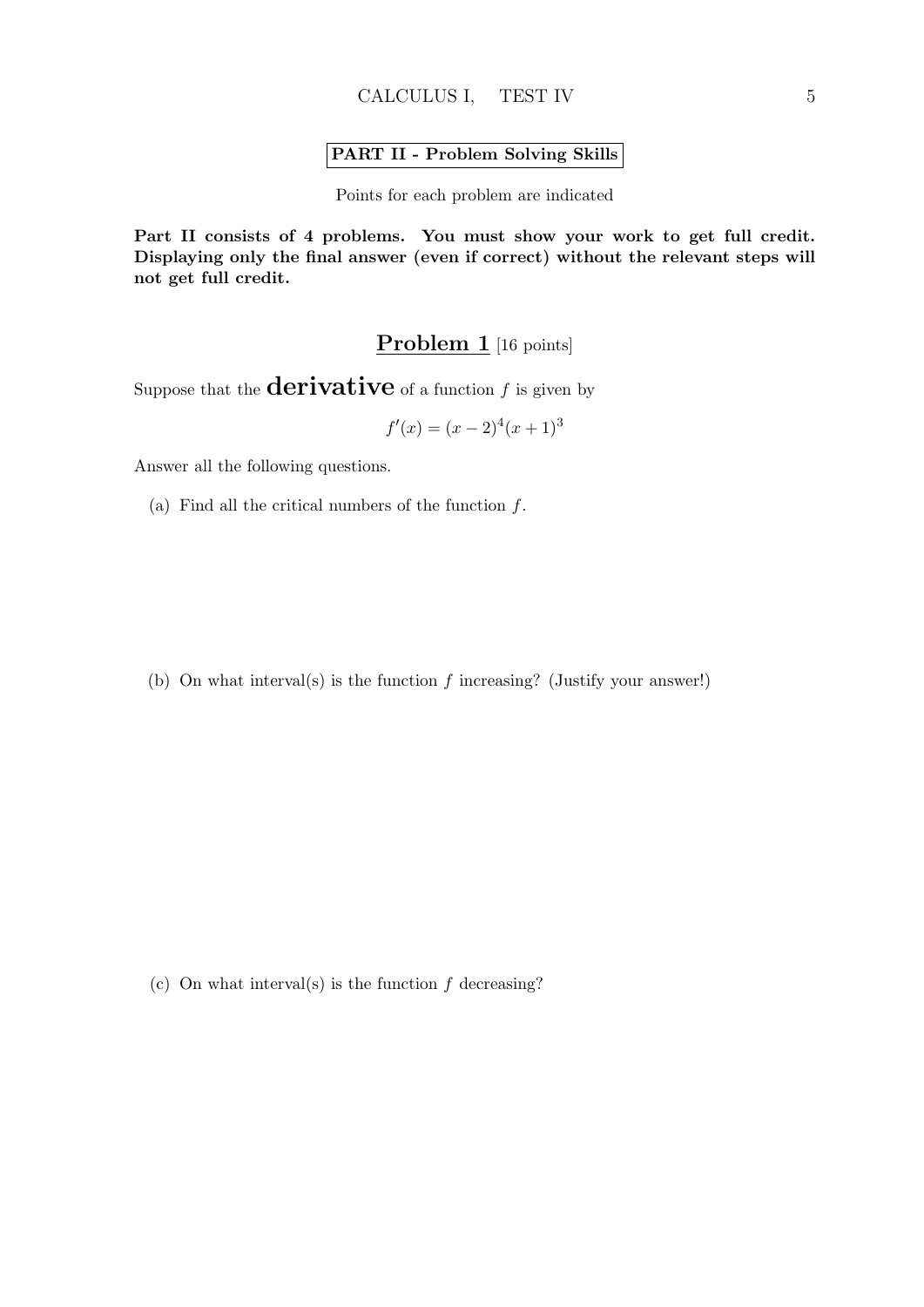#### **PART II - Problem Solving Skills**

Points for each problem are indicated

**Part II consists of 4 problems. You must show your work to get full credit. Displaying only the final answer (even if correct) without the relevant steps will not get full credit.**

## Problem 1 [16 points]

Suppose that the **derivative** of a function  $f$  is given by

$$
f'(x) = (x - 2)^4 (x + 1)^3
$$

Answer all the following questions.

(a) Find all the critical numbers of the function *f*.

(b) On what interval(s) is the function *f* increasing? (Justify your answer!)

(c) On what interval(s) is the function *f* decreasing?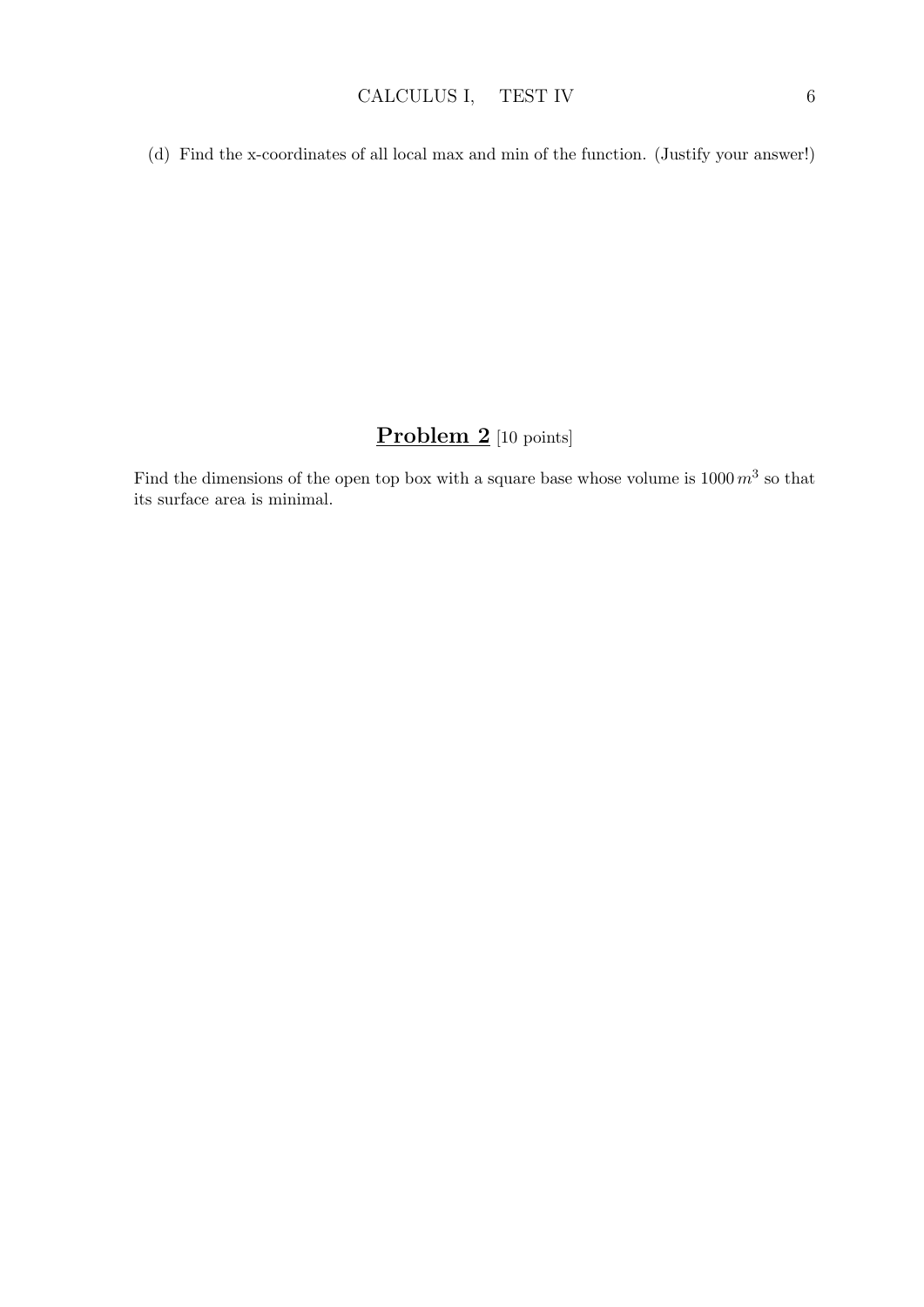(d) Find the x-coordinates of all local max and min of the function. (Justify your answer!)

# **Problem 2** [10 points]

Find the dimensions of the open top box with a square base whose volume is  $1000\ m^3$  so that its surface area is minimal.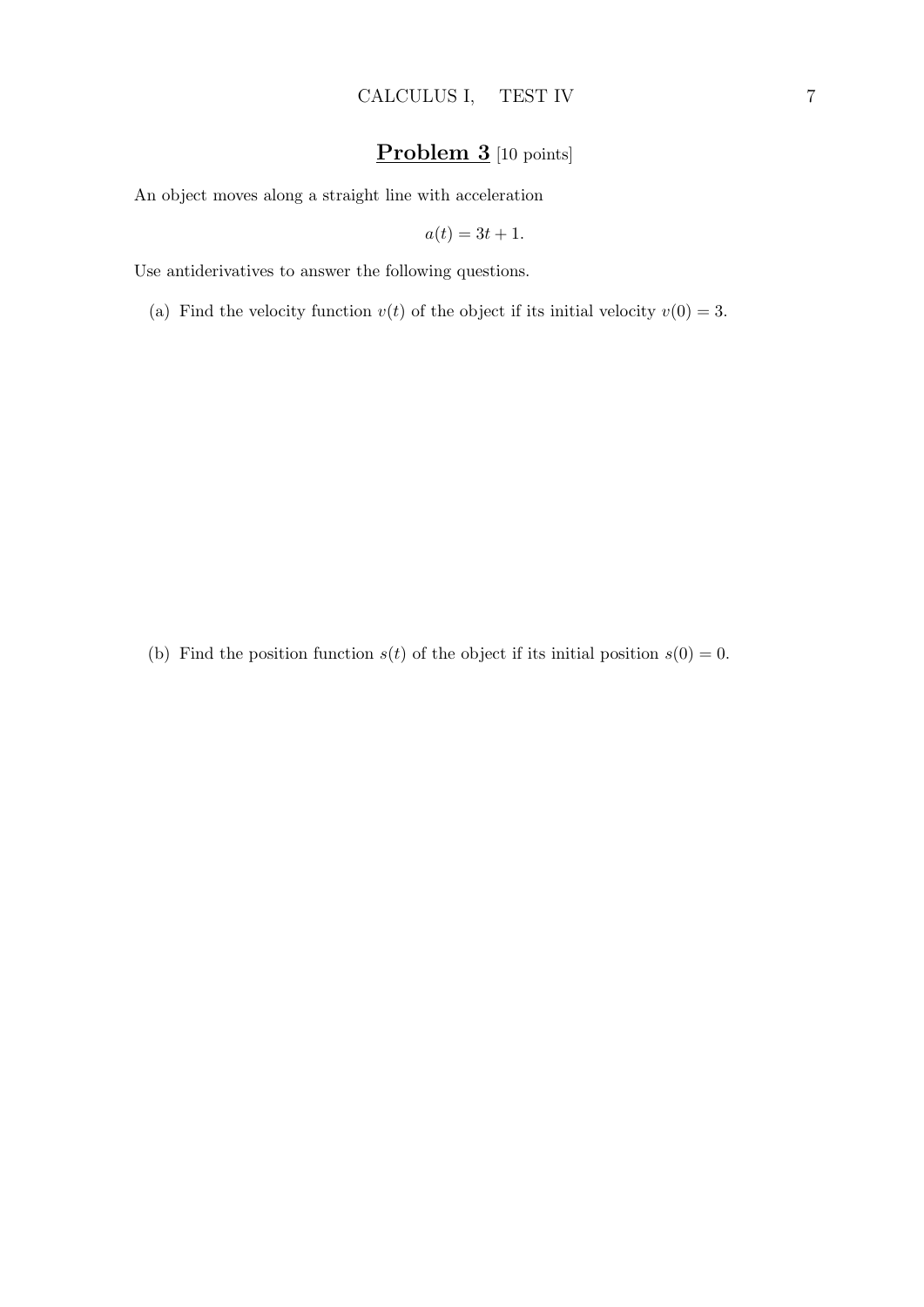## **Problem 3** [10 points]

An object moves along a straight line with acceleration

$$
a(t) = 3t + 1.
$$

Use antiderivatives to answer the following questions.

(a) Find the velocity function  $v(t)$  of the object if its initial velocity  $v(0) = 3$ .

(b) Find the position function  $s(t)$  of the object if its initial position  $s(0) = 0$ .